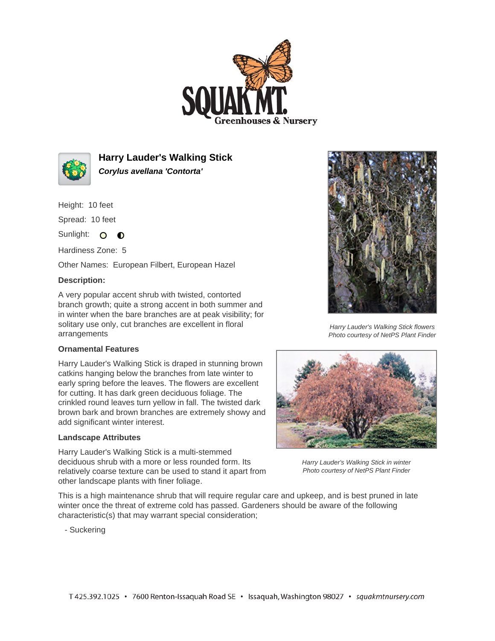



**Harry Lauder's Walking Stick Corylus avellana 'Contorta'**

Height: 10 feet

Spread: 10 feet

Sunlight: O **O** 

Hardiness Zone: 5

Other Names: European Filbert, European Hazel

## **Description:**

A very popular accent shrub with twisted, contorted branch growth; quite a strong accent in both summer and in winter when the bare branches are at peak visibility; for solitary use only, cut branches are excellent in floral arrangements

## **Ornamental Features**

Harry Lauder's Walking Stick is draped in stunning brown catkins hanging below the branches from late winter to early spring before the leaves. The flowers are excellent for cutting. It has dark green deciduous foliage. The crinkled round leaves turn yellow in fall. The twisted dark brown bark and brown branches are extremely showy and add significant winter interest.

## **Landscape Attributes**

Harry Lauder's Walking Stick is a multi-stemmed deciduous shrub with a more or less rounded form. Its relatively coarse texture can be used to stand it apart from other landscape plants with finer foliage.

This is a high maintenance shrub that will require regular care and upkeep, and is best pruned in late winter once the threat of extreme cold has passed. Gardeners should be aware of the following characteristic(s) that may warrant special consideration;

- Suckering



Harry Lauder's Walking Stick flowers Photo courtesy of NetPS Plant Finder



Harry Lauder's Walking Stick in winter Photo courtesy of NetPS Plant Finder